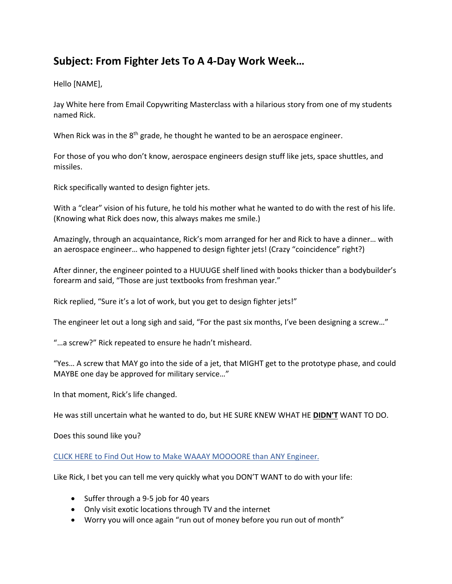## **Subject: From Fighter Jets To A 4-Day Work Week…**

Hello [NAME],

Jay White here from Email Copywriting Masterclass with a hilarious story from one of my students named Rick.

When Rick was in the  $8<sup>th</sup>$  grade, he thought he wanted to be an aerospace engineer.

For those of you who don't know, aerospace engineers design stuff like jets, space shuttles, and missiles.

Rick specifically wanted to design fighter jets.

With a "clear" vision of his future, he told his mother what he wanted to do with the rest of his life. (Knowing what Rick does now, this always makes me smile.)

Amazingly, through an acquaintance, Rick's mom arranged for her and Rick to have a dinner… with an aerospace engineer… who happened to design fighter jets! (Crazy "coincidence" right?)

After dinner, the engineer pointed to a HUUUGE shelf lined with books thicker than a bodybuilder's forearm and said, "Those are just textbooks from freshman year."

Rick replied, "Sure it's a lot of work, but you get to design fighter jets!"

The engineer let out a long sigh and said, "For the past six months, I've been designing a screw…"

"…a screw?" Rick repeated to ensure he hadn't misheard.

"Yes… A screw that MAY go into the side of a jet, that MIGHT get to the prototype phase, and could MAYBE one day be approved for military service…"

In that moment, Rick's life changed.

He was still uncertain what he wanted to do, but HE SURE KNEW WHAT HE **DIDN'T** WANT TO DO.

Does this sound like you?

CLICK HERE to Find Out How to Make WAAAY MOOOORE than ANY Engineer.

Like Rick, I bet you can tell me very quickly what you DON'T WANT to do with your life:

- Suffer through a 9-5 job for 40 years
- Only visit exotic locations through TV and the internet
- Worry you will once again "run out of money before you run out of month"